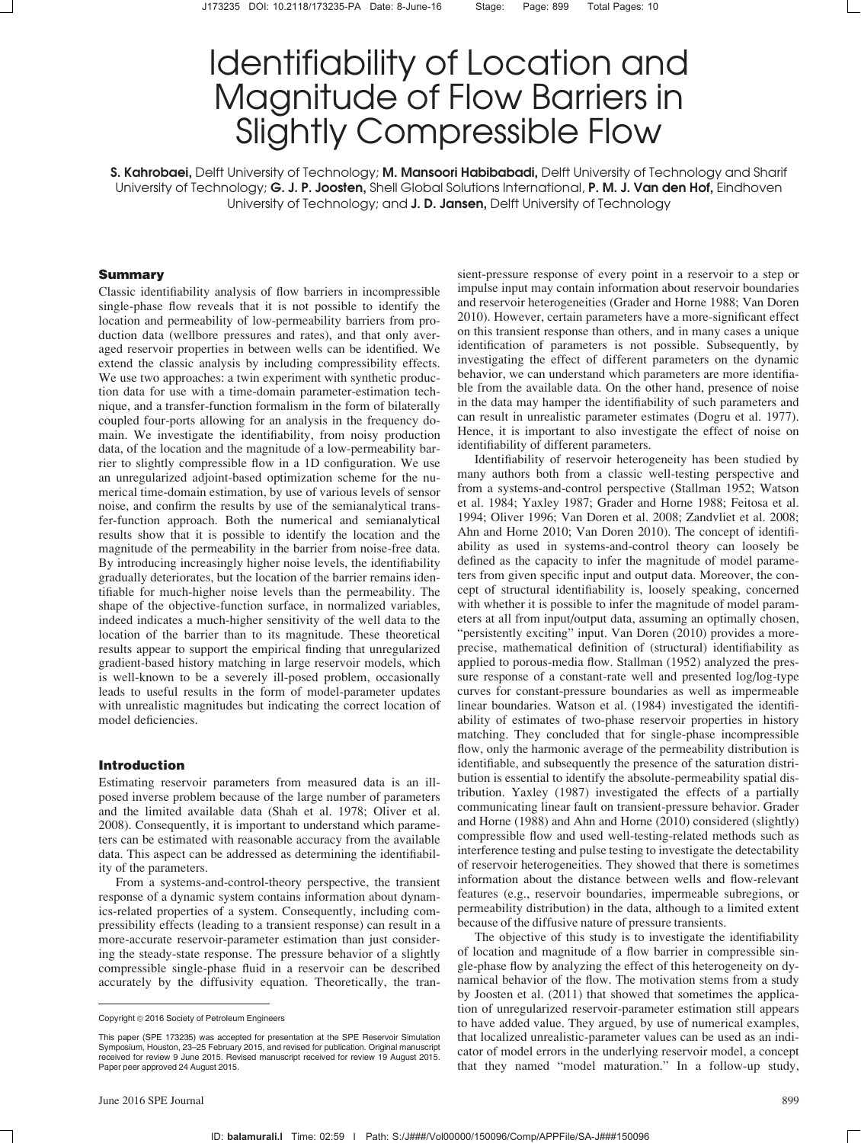# Identifiability of Location and Magnitude of Flow Barriers in Slightly Compressible Flow

S. Kahrobaei, Delft University of Technology; M. Mansoori Habibabadi, Delft University of Technology and Sharif University of Technology; G. J. P. Joosten, Shell Global Solutions International, P. M. J. Van den Hof, Eindhoven University of Technology; and J. D. Jansen, Delft University of Technology

# Summary

Classic identifiability analysis of flow barriers in incompressible single-phase flow reveals that it is not possible to identify the location and permeability of low-permeability barriers from production data (wellbore pressures and rates), and that only averaged reservoir properties in between wells can be identified. We extend the classic analysis by including compressibility effects. We use two approaches: a twin experiment with synthetic production data for use with a time-domain parameter-estimation technique, and a transfer-function formalism in the form of bilaterally coupled four-ports allowing for an analysis in the frequency domain. We investigate the identifiability, from noisy production data, of the location and the magnitude of a low-permeability barrier to slightly compressible flow in a 1D configuration. We use an unregularized adjoint-based optimization scheme for the numerical time-domain estimation, by use of various levels of sensor noise, and confirm the results by use of the semianalytical transfer-function approach. Both the numerical and semianalytical results show that it is possible to identify the location and the magnitude of the permeability in the barrier from noise-free data. By introducing increasingly higher noise levels, the identifiability gradually deteriorates, but the location of the barrier remains identifiable for much-higher noise levels than the permeability. The shape of the objective-function surface, in normalized variables, indeed indicates a much-higher sensitivity of the well data to the location of the barrier than to its magnitude. These theoretical results appear to support the empirical finding that unregularized gradient-based history matching in large reservoir models, which is well-known to be a severely ill-posed problem, occasionally leads to useful results in the form of model-parameter updates with unrealistic magnitudes but indicating the correct location of model deficiencies.

# Introduction

Estimating reservoir parameters from measured data is an illposed inverse problem because of the large number of parameters and the limited available data (Shah et al. 1978; Oliver et al. 2008). Consequently, it is important to understand which parameters can be estimated with reasonable accuracy from the available data. This aspect can be addressed as determining the identifiability of the parameters.

From a systems-and-control-theory perspective, the transient response of a dynamic system contains information about dynamics-related properties of a system. Consequently, including compressibility effects (leading to a transient response) can result in a more-accurate reservoir-parameter estimation than just considering the steady-state response. The pressure behavior of a slightly compressible single-phase fluid in a reservoir can be described accurately by the diffusivity equation. Theoretically, the tran-

sient-pressure response of every point in a reservoir to a step or impulse input may contain information about reservoir boundaries and reservoir heterogeneities (Grader and Horne 1988; Van Doren 2010). However, certain parameters have a more-significant effect on this transient response than others, and in many cases a unique identification of parameters is not possible. Subsequently, by investigating the effect of different parameters on the dynamic behavior, we can understand which parameters are more identifiable from the available data. On the other hand, presence of noise in the data may hamper the identifiability of such parameters and can result in unrealistic parameter estimates (Dogru et al. 1977). Hence, it is important to also investigate the effect of noise on identifiability of different parameters.

Identifiability of reservoir heterogeneity has been studied by many authors both from a classic well-testing perspective and from a systems-and-control perspective (Stallman 1952; Watson et al. 1984; Yaxley 1987; Grader and Horne 1988; Feitosa et al. 1994; Oliver 1996; Van Doren et al. 2008; Zandvliet et al. 2008; Ahn and Horne 2010; Van Doren 2010). The concept of identifiability as used in systems-and-control theory can loosely be defined as the capacity to infer the magnitude of model parameters from given specific input and output data. Moreover, the concept of structural identifiability is, loosely speaking, concerned with whether it is possible to infer the magnitude of model parameters at all from input/output data, assuming an optimally chosen, "persistently exciting" input. Van Doren (2010) provides a moreprecise, mathematical definition of (structural) identifiability as applied to porous-media flow. Stallman (1952) analyzed the pressure response of a constant-rate well and presented log/log-type curves for constant-pressure boundaries as well as impermeable linear boundaries. Watson et al. (1984) investigated the identifiability of estimates of two-phase reservoir properties in history matching. They concluded that for single-phase incompressible flow, only the harmonic average of the permeability distribution is identifiable, and subsequently the presence of the saturation distribution is essential to identify the absolute-permeability spatial distribution. Yaxley (1987) investigated the effects of a partially communicating linear fault on transient-pressure behavior. Grader and Horne (1988) and Ahn and Horne (2010) considered (slightly) compressible flow and used well-testing-related methods such as interference testing and pulse testing to investigate the detectability of reservoir heterogeneities. They showed that there is sometimes information about the distance between wells and flow-relevant features (e.g., reservoir boundaries, impermeable subregions, or permeability distribution) in the data, although to a limited extent because of the diffusive nature of pressure transients.

The objective of this study is to investigate the identifiability of location and magnitude of a flow barrier in compressible single-phase flow by analyzing the effect of this heterogeneity on dynamical behavior of the flow. The motivation stems from a study by Joosten et al. (2011) that showed that sometimes the application of unregularized reservoir-parameter estimation still appears to have added value. They argued, by use of numerical examples, that localized unrealistic-parameter values can be used as an indicator of model errors in the underlying reservoir model, a concept that they named "model maturation." In a follow-up study,

Copyright © 2016 Society of Petroleum Engineers

This paper (SPE 173235) was accepted for presentation at the SPE Reservoir Simulation Symposium, Houston, 23–25 February 2015, and revised for publication. Original manuscript received for review 9 June 2015. Revised manuscript received for review 19 August 2015. Paper peer approved 24 August 2015.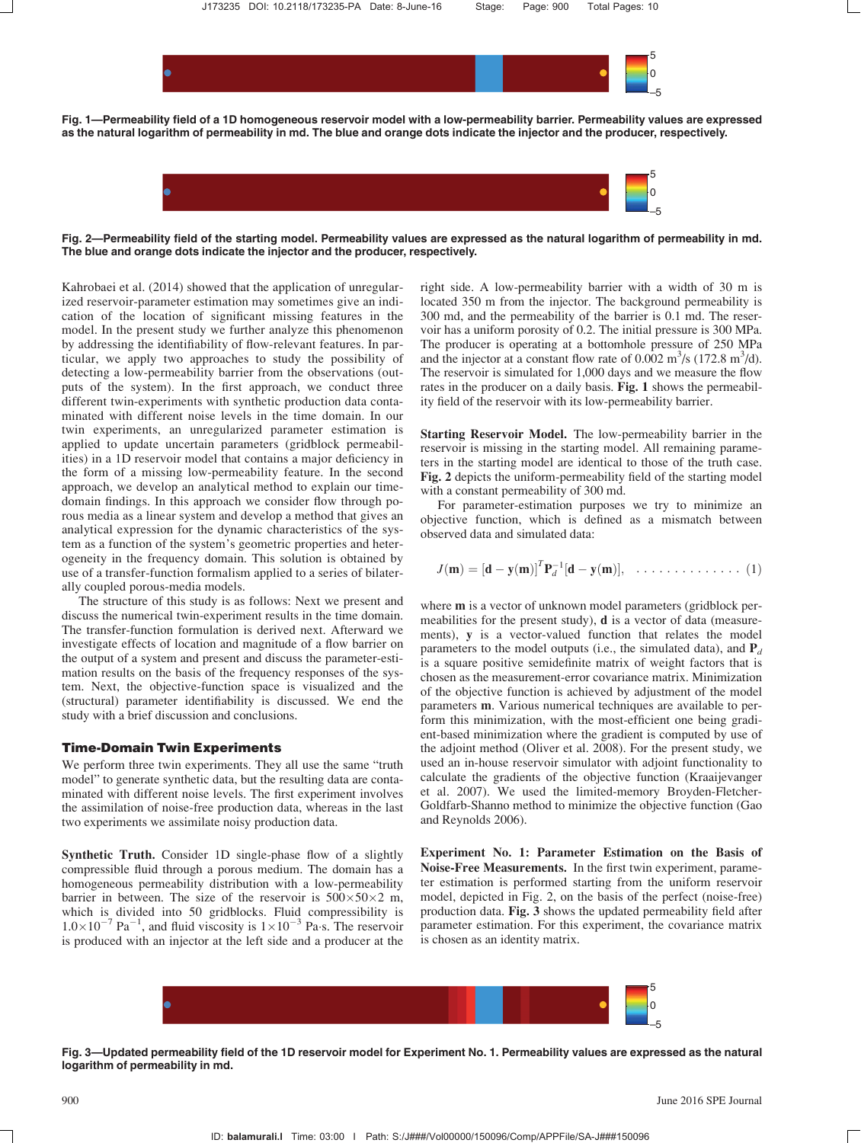

Fig. 1—Permeability field of a 1D homogeneous reservoir model with a low-permeability barrier. Permeability values are expressed as the natural logarithm of permeability in md. The blue and orange dots indicate the injector and the producer, respectively.



Fig. 2—Permeability field of the starting model. Permeability values are expressed as the natural logarithm of permeability in md. The blue and orange dots indicate the injector and the producer, respectively.

Kahrobaei et al. (2014) showed that the application of unregularized reservoir-parameter estimation may sometimes give an indication of the location of significant missing features in the model. In the present study we further analyze this phenomenon by addressing the identifiability of flow-relevant features. In particular, we apply two approaches to study the possibility of detecting a low-permeability barrier from the observations (outputs of the system). In the first approach, we conduct three different twin-experiments with synthetic production data contaminated with different noise levels in the time domain. In our twin experiments, an unregularized parameter estimation is applied to update uncertain parameters (gridblock permeabilities) in a 1D reservoir model that contains a major deficiency in the form of a missing low-permeability feature. In the second approach, we develop an analytical method to explain our timedomain findings. In this approach we consider flow through porous media as a linear system and develop a method that gives an analytical expression for the dynamic characteristics of the system as a function of the system's geometric properties and heterogeneity in the frequency domain. This solution is obtained by use of a transfer-function formalism applied to a series of bilaterally coupled porous-media models.

The structure of this study is as follows: Next we present and discuss the numerical twin-experiment results in the time domain. The transfer-function formulation is derived next. Afterward we investigate effects of location and magnitude of a flow barrier on the output of a system and present and discuss the parameter-estimation results on the basis of the frequency responses of the system. Next, the objective-function space is visualized and the (structural) parameter identifiability is discussed. We end the study with a brief discussion and conclusions.

### Time-Domain Twin Experiments

We perform three twin experiments. They all use the same "truth model" to generate synthetic data, but the resulting data are contaminated with different noise levels. The first experiment involves the assimilation of noise-free production data, whereas in the last two experiments we assimilate noisy production data.

Synthetic Truth. Consider 1D single-phase flow of a slightly compressible fluid through a porous medium. The domain has a homogeneous permeability distribution with a low-permeability barrier in between. The size of the reservoir is  $500 \times 50 \times 2$  m, which is divided into 50 gridblocks. Fluid compressibility is  $1.0\times10^{-7}$  Pa<sup>-1</sup>, and fluid viscosity is  $1\times10^{-3}$  Pa·s. The reservoir is produced with an injector at the left side and a producer at the right side. A low-permeability barrier with a width of 30 m is located 350 m from the injector. The background permeability is 300 md, and the permeability of the barrier is 0.1 md. The reservoir has a uniform porosity of 0.2. The initial pressure is 300 MPa. The producer is operating at a bottomhole pressure of 250 MPa and the injector at a constant flow rate of  $0.002 \text{ m}^3/\text{s}$  (172.8 m<sup>3</sup>/d). The reservoir is simulated for 1,000 days and we measure the flow rates in the producer on a daily basis. Fig. 1 shows the permeability field of the reservoir with its low-permeability barrier.

Starting Reservoir Model. The low-permeability barrier in the reservoir is missing in the starting model. All remaining parameters in the starting model are identical to those of the truth case. Fig. 2 depicts the uniform-permeability field of the starting model with a constant permeability of 300 md.

For parameter-estimation purposes we try to minimize an objective function, which is defined as a mismatch between observed data and simulated data:

$$
J(\mathbf{m}) = [\mathbf{d} - \mathbf{y}(\mathbf{m})]^T \mathbf{P}_d^{-1} [\mathbf{d} - \mathbf{y}(\mathbf{m})], \quad \dots \dots \dots \dots \dots \tag{1}
$$

where m is a vector of unknown model parameters (gridblock permeabilities for the present study), d is a vector of data (measurements), y is a vector-valued function that relates the model parameters to the model outputs (i.e., the simulated data), and  $P_d$ is a square positive semidefinite matrix of weight factors that is chosen as the measurement-error covariance matrix. Minimization of the objective function is achieved by adjustment of the model parameters m. Various numerical techniques are available to perform this minimization, with the most-efficient one being gradient-based minimization where the gradient is computed by use of the adjoint method (Oliver et al. 2008). For the present study, we used an in-house reservoir simulator with adjoint functionality to calculate the gradients of the objective function (Kraaijevanger et al. 2007). We used the limited-memory Broyden-Fletcher-Goldfarb-Shanno method to minimize the objective function (Gao and Reynolds 2006).

Experiment No. 1: Parameter Estimation on the Basis of Noise-Free Measurements. In the first twin experiment, parameter estimation is performed starting from the uniform reservoir model, depicted in Fig. 2, on the basis of the perfect (noise-free) production data. Fig. 3 shows the updated permeability field after parameter estimation. For this experiment, the covariance matrix is chosen as an identity matrix.



Fig. 3—Updated permeability field of the 1D reservoir model for Experiment No. 1. Permeability values are expressed as the natural logarithm of permeability in md.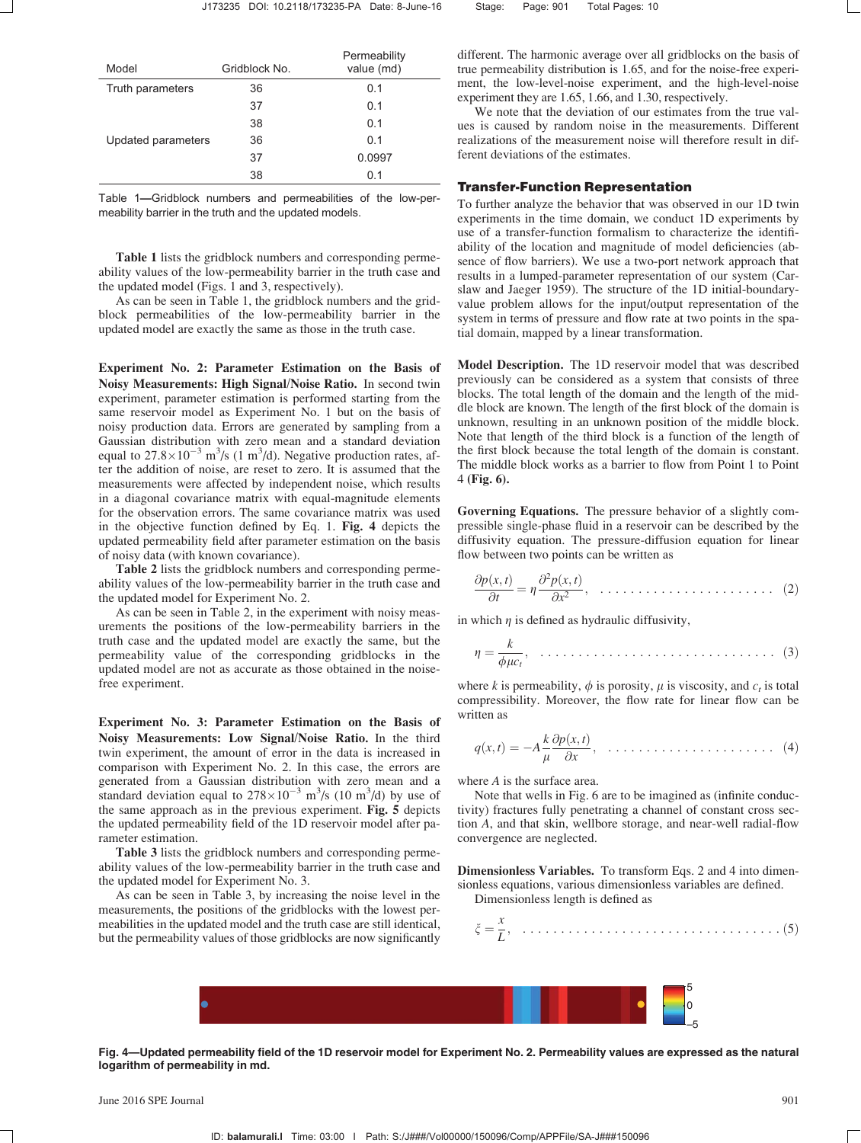| Model              | Gridblock No. | Permeability<br>value (md) |
|--------------------|---------------|----------------------------|
| Truth parameters   | 36            | 0.1                        |
|                    | 37            | 0.1                        |
|                    | 38            | 0.1                        |
| Updated parameters | 36            | 0.1                        |
|                    | 37            | 0.0997                     |
|                    | 38            | 0.1                        |

Table 1—Gridblock numbers and permeabilities of the low-permeability barrier in the truth and the updated models.

Table 1 lists the gridblock numbers and corresponding permeability values of the low-permeability barrier in the truth case and the updated model (Figs. 1 and 3, respectively).

As can be seen in Table 1, the gridblock numbers and the gridblock permeabilities of the low-permeability barrier in the updated model are exactly the same as those in the truth case.

Experiment No. 2: Parameter Estimation on the Basis of Noisy Measurements: High Signal/Noise Ratio. In second twin experiment, parameter estimation is performed starting from the same reservoir model as Experiment No. 1 but on the basis of noisy production data. Errors are generated by sampling from a Gaussian distribution with zero mean and a standard deviation equal to  $27.8 \times 10^{-3}$  m<sup>3</sup>/s (1 m<sup>3</sup>/d). Negative production rates, after the addition of noise, are reset to zero. It is assumed that the measurements were affected by independent noise, which results in a diagonal covariance matrix with equal-magnitude elements for the observation errors. The same covariance matrix was used in the objective function defined by Eq. 1. Fig. 4 depicts the updated permeability field after parameter estimation on the basis of noisy data (with known covariance).

Table 2 lists the gridblock numbers and corresponding permeability values of the low-permeability barrier in the truth case and the updated model for Experiment No. 2.

As can be seen in Table 2, in the experiment with noisy measurements the positions of the low-permeability barriers in the truth case and the updated model are exactly the same, but the permeability value of the corresponding gridblocks in the updated model are not as accurate as those obtained in the noisefree experiment.

Experiment No. 3: Parameter Estimation on the Basis of Noisy Measurements: Low Signal/Noise Ratio. In the third twin experiment, the amount of error in the data is increased in comparison with Experiment No. 2. In this case, the errors are generated from a Gaussian distribution with zero mean and a standard deviation equal to  $278 \times 10^{-3}$  m<sup>3</sup>/s (10 m<sup>3</sup>/d) by use of the same approach as in the previous experiment. Fig. 5 depicts the updated permeability field of the 1D reservoir model after parameter estimation.

Table 3 lists the gridblock numbers and corresponding permeability values of the low-permeability barrier in the truth case and the updated model for Experiment No. 3.

As can be seen in Table 3, by increasing the noise level in the measurements, the positions of the gridblocks with the lowest permeabilities in the updated model and the truth case are still identical, but the permeability values of those gridblocks are now significantly different. The harmonic average over all gridblocks on the basis of true permeability distribution is 1.65, and for the noise-free experiment, the low-level-noise experiment, and the high-level-noise experiment they are 1.65, 1.66, and 1.30, respectively.

We note that the deviation of our estimates from the true values is caused by random noise in the measurements. Different realizations of the measurement noise will therefore result in different deviations of the estimates.

# Transfer-Function Representation

To further analyze the behavior that was observed in our 1D twin experiments in the time domain, we conduct 1D experiments by use of a transfer-function formalism to characterize the identifiability of the location and magnitude of model deficiencies (absence of flow barriers). We use a two-port network approach that results in a lumped-parameter representation of our system (Carslaw and Jaeger 1959). The structure of the 1D initial-boundaryvalue problem allows for the input/output representation of the system in terms of pressure and flow rate at two points in the spatial domain, mapped by a linear transformation.

Model Description. The 1D reservoir model that was described previously can be considered as a system that consists of three blocks. The total length of the domain and the length of the middle block are known. The length of the first block of the domain is unknown, resulting in an unknown position of the middle block. Note that length of the third block is a function of the length of the first block because the total length of the domain is constant. The middle block works as a barrier to flow from Point 1 to Point 4 (Fig. 6).

Governing Equations. The pressure behavior of a slightly compressible single-phase fluid in a reservoir can be described by the diffusivity equation. The pressure-diffusion equation for linear flow between two points can be written as

$$
\frac{\partial p(x,t)}{\partial t} = \eta \frac{\partial^2 p(x,t)}{\partial x^2}, \quad \dots \quad \dots \quad \dots \quad \dots \quad (2)
$$

in which  $\eta$  is defined as hydraulic diffusivity,

<sup>g</sup> <sup>¼</sup> <sup>k</sup> /lct ; ð3Þ ...............................

where k is permeability,  $\phi$  is porosity,  $\mu$  is viscosity, and  $c_t$  is total compressibility. Moreover, the flow rate for linear flow can be written as

$$
q(x,t) = -A\frac{k}{\mu}\frac{\partial p(x,t)}{\partial x}, \quad \dots \dots \dots \dots \dots \dots \dots \dots \tag{4}
$$

where A is the surface area.

Note that wells in Fig. 6 are to be imagined as (infinite conductivity) fractures fully penetrating a channel of constant cross section A, and that skin, wellbore storage, and near-well radial-flow convergence are neglected.

Dimensionless Variables. To transform Eqs. 2 and 4 into dimensionless equations, various dimensionless variables are defined. Dimensionless length is defined as





Fig. 4—Updated permeability field of the 1D reservoir model for Experiment No. 2. Permeability values are expressed as the natural logarithm of permeability in md.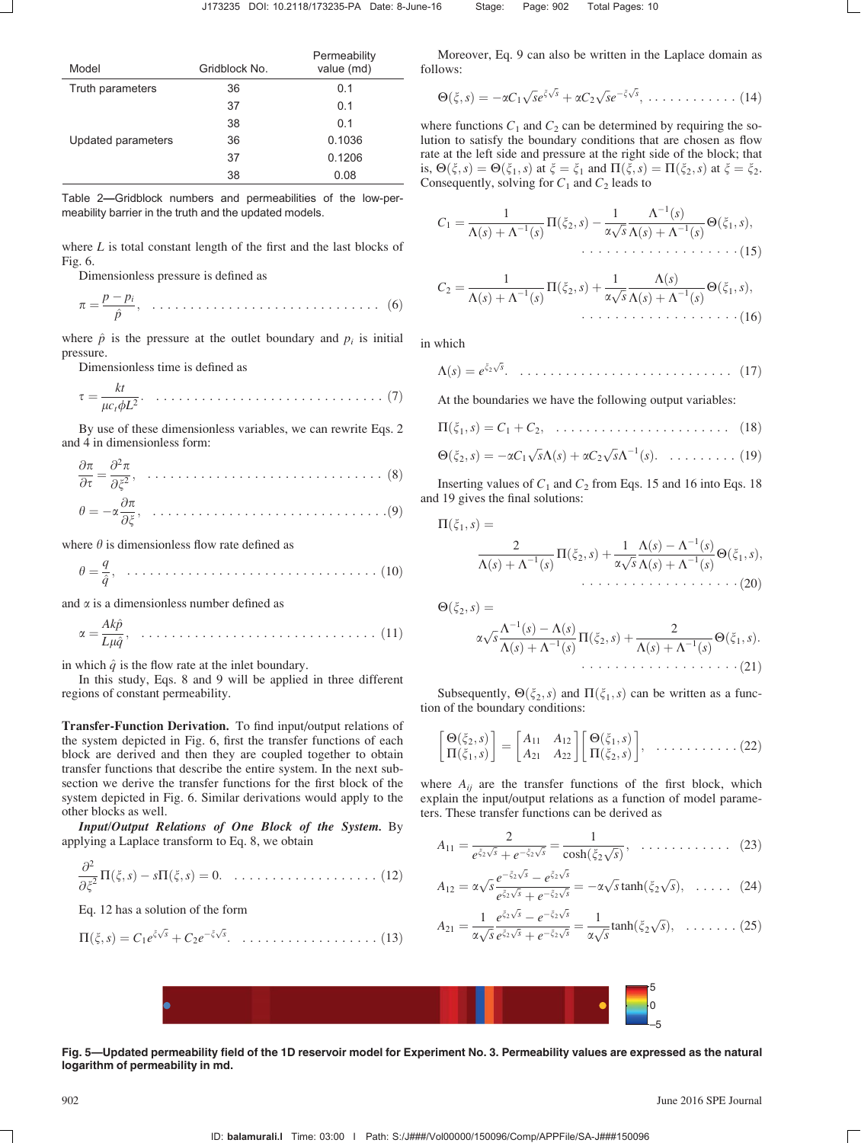| Model              | Gridblock No. | Permeability<br>value (md) |
|--------------------|---------------|----------------------------|
| Truth parameters   | 36            | 0.1                        |
|                    | 37            | 0.1                        |
|                    | 38            | 0.1                        |
| Updated parameters | 36            | 0.1036                     |
|                    | 37            | 0.1206                     |
|                    | 38            | 0.08                       |
|                    |               |                            |

Table 2—Gridblock numbers and permeabilities of the low-permeability barrier in the truth and the updated models.

where  $L$  is total constant length of the first and the last blocks of Fig. 6.

Dimensionless pressure is defined as

$$
\pi = \frac{p - p_i}{\hat{p}}, \quad \ldots \ldots \ldots \ldots \ldots \ldots \ldots \ldots \ldots \ldots \ldots \quad (6)
$$

where  $\hat{p}$  is the pressure at the outlet boundary and  $p_i$  is initial pressure.

Dimensionless time is defined as

$$
\tau = \frac{kt}{\mu c_t \phi L^2} \dots \dots \dots \dots \dots \dots \dots \dots \dots \dots \dots \tag{7}
$$

By use of these dimensionless variables, we can rewrite Eqs. 2 and 4 in dimensionless form:

$$
\frac{\partial \pi}{\partial \tau} = \frac{\partial^2 \pi}{\partial \xi^2}, \quad \dots \quad \dots \quad \dots \quad \dots \quad \dots \quad \dots \quad \dots \quad \quad (8)
$$

$$
\theta = -\alpha \frac{\partial \pi}{\partial \xi}, \quad \ldots \ldots \ldots \ldots \ldots \ldots \ldots \ldots \ldots \ldots \ldots \ldots \ldots (9)
$$

where  $\theta$  is dimensionless flow rate defined as

$$
\theta = \frac{q}{\hat{q}}, \quad \dots \quad \dots \quad \dots \quad \dots \quad \dots \quad \dots \quad (10)
$$

and  $\alpha$  is a dimensionless number defined as

$$
\alpha = \frac{Ak\hat{p}}{L\mu\hat{q}}, \quad \dots \dots \dots \dots \dots \dots \dots \dots \dots \dots \dots \dots \dots \tag{11}
$$

in which  $\hat{q}$  is the flow rate at the inlet boundary.

In this study, Eqs. 8 and 9 will be applied in three different regions of constant permeability.

Transfer-Function Derivation. To find input/output relations of the system depicted in Fig. 6, first the transfer functions of each block are derived and then they are coupled together to obtain transfer functions that describe the entire system. In the next subsection we derive the transfer functions for the first block of the system depicted in Fig. 6. Similar derivations would apply to the other blocks as well.

Input/Output Relations of One Block of the System. By applying a Laplace transform to Eq. 8, we obtain

$$
\frac{\partial^2}{\partial \xi^2} \Pi(\xi, s) - s \Pi(\xi, s) = 0. \quad \dots \quad \dots \quad \dots \quad \dots \quad (12)
$$

Eq. 12 has a solution of the form

$$
\Pi(\xi, s) = C_1 e^{\xi \sqrt{s}} + C_2 e^{-\xi \sqrt{s}}.
$$
 (13)

Moreover, Eq. 9 can also be written in the Laplace domain as follows:

$$
\Theta(\xi,s) = -\alpha C_1 \sqrt{s} e^{\xi \sqrt{s}} + \alpha C_2 \sqrt{s} e^{-\xi \sqrt{s}}, \ldots \ldots \ldots \ldots \ldots (14)
$$

where functions  $C_1$  and  $C_2$  can be determined by requiring the solution to satisfy the boundary conditions that are chosen as flow rate at the left side and pressure at the right side of the block; that is,  $\Theta(\xi,s) = \Theta(\xi_1,s)$  at  $\xi = \xi_1$  and  $\Pi(\xi,s) = \Pi(\xi_2,s)$  at  $\xi = \xi_2$ . Consequently, solving for  $C_1$  and  $C_2$  leads to

$$
C_1 = \frac{1}{\Lambda(s) + \Lambda^{-1}(s)} \Pi(\xi_2, s) - \frac{1}{\alpha \sqrt{s}} \frac{\Lambda^{-1}(s)}{\Lambda(s) + \Lambda^{-1}(s)} \Theta(\xi_1, s),
$$
  
... \dots \dots \dots \dots \dots \dots \dots (15)

$$
C_2 = \frac{1}{\Lambda(s) + \Lambda^{-1}(s)} \Pi(\xi_2, s) + \frac{1}{\alpha \sqrt{s}} \frac{\Lambda(s)}{\Lambda(s) + \Lambda^{-1}(s)} \Theta(\xi_1, s),
$$
  
 
$$
\cdots \cdots \cdots \cdots \cdots \cdots (16)
$$

in which

$$
\Lambda(s) = e^{\xi_2 \sqrt{s}}.\tag{17}
$$

At the boundaries we have the following output variables:

$$
\Pi(\xi_1,s) = C_1 + C_2, \quad \ldots \quad \ldots \quad \ldots \quad \ldots \quad (18)
$$

$$
\Theta(\xi_2, s) = -\alpha C_1 \sqrt{s} \Lambda(s) + \alpha C_2 \sqrt{s} \Lambda^{-1}(s). \quad \dots \dots \dots \dots \tag{19}
$$

Inserting values of  $C_1$  and  $C_2$  from Eqs. 15 and 16 into Eqs. 18 and 19 gives the final solutions:

Pðn1;sÞ ¼ 2 KðsÞ þ K<sup>1</sup> ðsÞ <sup>P</sup>ðn2;sÞ þ <sup>1</sup> <sup>a</sup> ffiffi s p KðsÞ K<sup>1</sup> ðsÞ KðsÞ þ K<sup>1</sup> ðsÞ Hðn1;sÞ; ð20Þ

 $\Theta(\xi_2,s)=$ 

$$
\alpha\sqrt{s}\frac{\Lambda^{-1}(s)-\Lambda(s)}{\Lambda(s)+\Lambda^{-1}(s)}\Pi(\xi_2,s)+\frac{2}{\Lambda(s)+\Lambda^{-1}(s)}\Theta(\xi_1,s).
$$

Subsequently,  $\Theta(\xi_2,s)$  and  $\Pi(\xi_1,s)$  can be written as a function of the boundary conditions:

$$
\begin{bmatrix}\n\Theta(\xi_2,s) \\
\Pi(\xi_1,s)\n\end{bmatrix} =\n\begin{bmatrix}\nA_{11} & A_{12} \\
A_{21} & A_{22}\n\end{bmatrix}\n\begin{bmatrix}\n\Theta(\xi_1,s) \\
\Pi(\xi_2,s)\n\end{bmatrix}, \quad \ldots \ldots \ldots \ldots \ldots \tag{22}
$$

where  $A_{ij}$  are the transfer functions of the first block, which explain the input/output relations as a function of model parameters. These transfer functions can be derived as

$$
A_{11} = \frac{2}{e^{\xi_2 \sqrt{s}} + e^{-\xi_2 \sqrt{s}}} = \frac{1}{\cosh(\xi_2 \sqrt{s})}, \quad \dots \dots \dots \tag{23}
$$

$$
A_{12} = \alpha \sqrt{s} \frac{e^{-\xi_2 \sqrt{s}} - e^{\xi_2 \sqrt{s}}}{e^{\xi_2 \sqrt{s}} + e^{-\xi_2 \sqrt{s}}} = -\alpha \sqrt{s} \tanh(\xi_2 \sqrt{s}), \quad \ldots \ldots \quad (24)
$$

$$
A_{21} = \frac{1}{\alpha\sqrt{s}} \frac{e^{\xi_2\sqrt{s}} - e^{-\xi_2\sqrt{s}}}{e^{\xi_2\sqrt{s}} + e^{-\xi_2\sqrt{s}}} = \frac{1}{\alpha\sqrt{s}} \tanh(\xi_2\sqrt{s}), \quad \ldots \ldots \ldots (25)
$$

5

–5 0

Fig. 5—Updated permeability field of the 1D reservoir model for Experiment No. 3. Permeability values are expressed as the natural logarithm of permeability in md.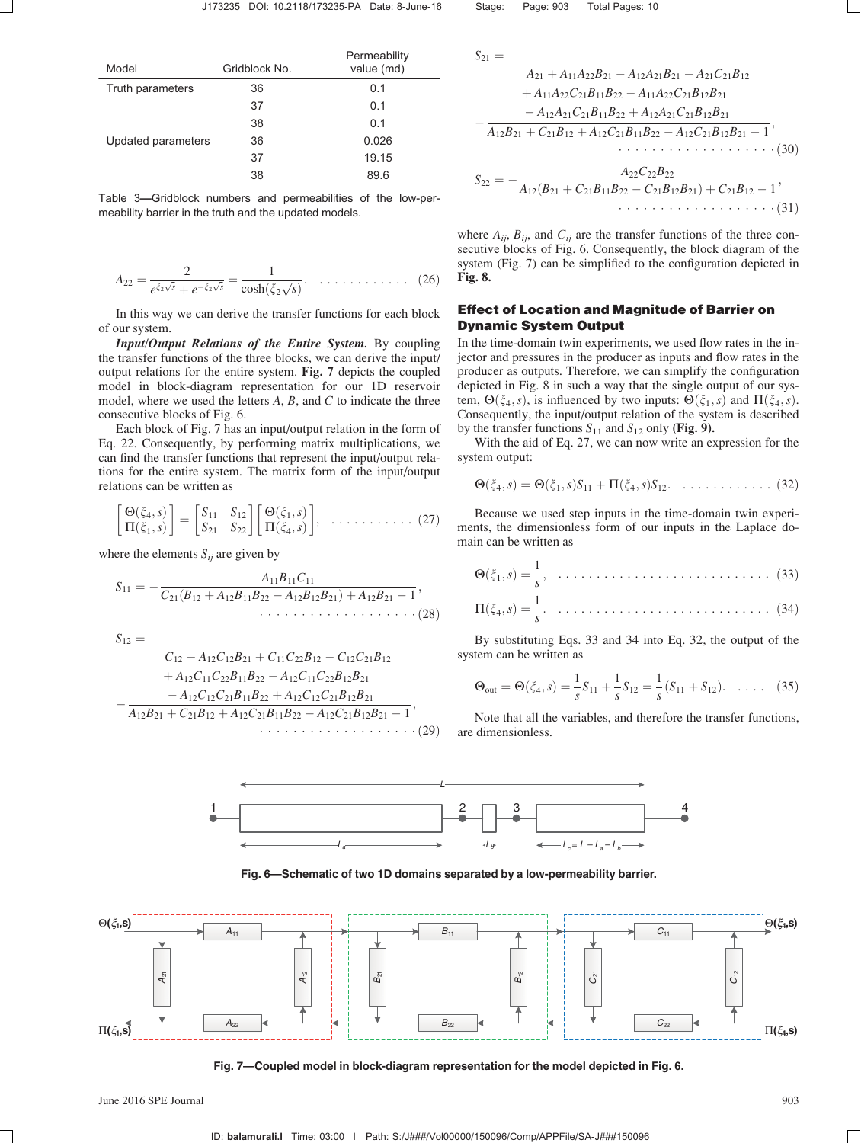| Model              | Gridblock No. | Permeability<br>value (md) |
|--------------------|---------------|----------------------------|
| Truth parameters   | 36            | 0.1                        |
|                    | 37            | 0.1                        |
|                    | 38            | 0.1                        |
| Updated parameters | 36            | 0.026                      |
|                    | 37            | 19.15                      |
|                    | 38            | 89.6                       |

Table 3—Gridblock numbers and permeabilities of the low-permeability barrier in the truth and the updated models.

$$
A_{22} = \frac{2}{e^{\xi_2\sqrt{s}} + e^{-\xi_2\sqrt{s}}} = \frac{1}{\cosh(\xi_2\sqrt{s})}.
$$
 (26)

In this way we can derive the transfer functions for each block of our system.

Input/Output Relations of the Entire System. By coupling the transfer functions of the three blocks, we can derive the input/ output relations for the entire system. Fig. 7 depicts the coupled model in block-diagram representation for our 1D reservoir model, where we used the letters  $A, B$ , and  $C$  to indicate the three consecutive blocks of Fig. 6.

Each block of Fig. 7 has an input/output relation in the form of Eq. 22. Consequently, by performing matrix multiplications, we can find the transfer functions that represent the input/output relations for the entire system. The matrix form of the input/output relations can be written as

$$
\begin{bmatrix}\n\Theta(\xi_4, s) \\
\Pi(\xi_1, s)\n\end{bmatrix} =\n\begin{bmatrix}\nS_{11} & S_{12} \\
S_{21} & S_{22}\n\end{bmatrix}\n\begin{bmatrix}\n\Theta(\xi_1, s) \\
\Pi(\xi_4, s)\n\end{bmatrix},\n\quad \ldots \ldots \ldots \ldots \ldots \tag{27}
$$

where the elements  $S_{ij}$  are given by

 $S_{12}$   $\rightarrow$ 

$$
S_{11} = -\frac{A_{11}B_{11}C_{11}}{C_{21}(B_{12} + A_{12}B_{11}B_{22} - A_{12}B_{12}B_{21}) + A_{12}B_{21} - 1},
$$
  
... (28)

$$
C_{12} - A_{12}C_{12}B_{21} + C_{11}C_{22}B_{12} - C_{12}C_{21}B_{12}
$$
  
+  $A_{12}C_{11}C_{22}B_{11}B_{22} - A_{12}C_{11}C_{22}B_{12}B_{21}$   
- 
$$
\frac{-A_{12}C_{12}C_{21}B_{11}B_{22} + A_{12}C_{12}C_{21}B_{12}B_{21}}{A_{12}B_{21} + C_{21}B_{12} + A_{12}C_{21}B_{11}B_{22} - A_{12}C_{21}B_{12}B_{21} - 1},
$$
 (29)

$$
S_{21} =
$$

$$
A_{21} + A_{11}A_{22}B_{21} - A_{12}A_{21}B_{21} - A_{21}C_{21}B_{12}
$$
  
+  $A_{11}A_{22}C_{21}B_{11}B_{22} - A_{11}A_{22}C_{21}B_{12}B_{21}$   
-  $A_{12}A_{21}C_{21}B_{11}B_{22} + A_{12}A_{21}C_{21}B_{12}B_{21}$   
-  $A_{12}B_{21} + C_{21}B_{12} + A_{12}C_{21}B_{11}B_{22} - A_{12}C_{21}B_{12}B_{21} - 1$   
................. (30)  

$$
S_{22} = -\frac{A_{22}C_{22}B_{22}}{A_{12}(B_{21} + C_{21}B_{11}B_{22} - C_{21}B_{12}B_{21}) + C_{21}B_{12} - 1}
$$
  
................. (31)

where  $A_{ij}$ ,  $B_{ij}$ , and  $C_{ij}$  are the transfer functions of the three consecutive blocks of Fig. 6. Consequently, the block diagram of the system (Fig. 7) can be simplified to the configuration depicted in Fig. 8.

# Effect of Location and Magnitude of Barrier on Dynamic System Output

In the time-domain twin experiments, we used flow rates in the injector and pressures in the producer as inputs and flow rates in the producer as outputs. Therefore, we can simplify the configuration depicted in Fig. 8 in such a way that the single output of our system,  $\Theta(\xi_4,s)$ , is influenced by two inputs:  $\Theta(\xi_1,s)$  and  $\Pi(\xi_4,s)$ . Consequently, the input/output relation of the system is described by the transfer functions  $S_{11}$  and  $S_{12}$  only (Fig. 9).

With the aid of Eq. 27, we can now write an expression for the system output:

$$
\Theta(\xi_4, s) = \Theta(\xi_1, s)S_{11} + \Pi(\xi_4, s)S_{12}. \quad \dots \dots \dots \dots \dots \tag{32}
$$

Because we used step inputs in the time-domain twin experiments, the dimensionless form of our inputs in the Laplace domain can be written as

$$
\Theta(\xi_1, s) = \frac{1}{s}, \quad \dots \quad \dots \quad \dots \quad \dots \quad \dots \quad \dots \quad (33)
$$

$$
\Pi(\xi_4,s)=\frac{1}{s}.\quad \ldots \ldots \ldots \ldots \ldots \ldots \ldots \ldots \ldots \ldots \ldots \tag{34}
$$

By substituting Eqs. 33 and 34 into Eq. 32, the output of the system can be written as

$$
\Theta_{\text{out}} = \Theta(\xi_4, s) = \frac{1}{s} S_{11} + \frac{1}{s} S_{12} = \frac{1}{s} (S_{11} + S_{12}). \quad \dots \quad (35)
$$

Note that all the variables, and therefore the transfer functions, are dimensionless.



Fig. 6—Schematic of two 1D domains separated by a low-permeability barrier.



Fig. 7—Coupled model in block-diagram representation for the model depicted in Fig. 6.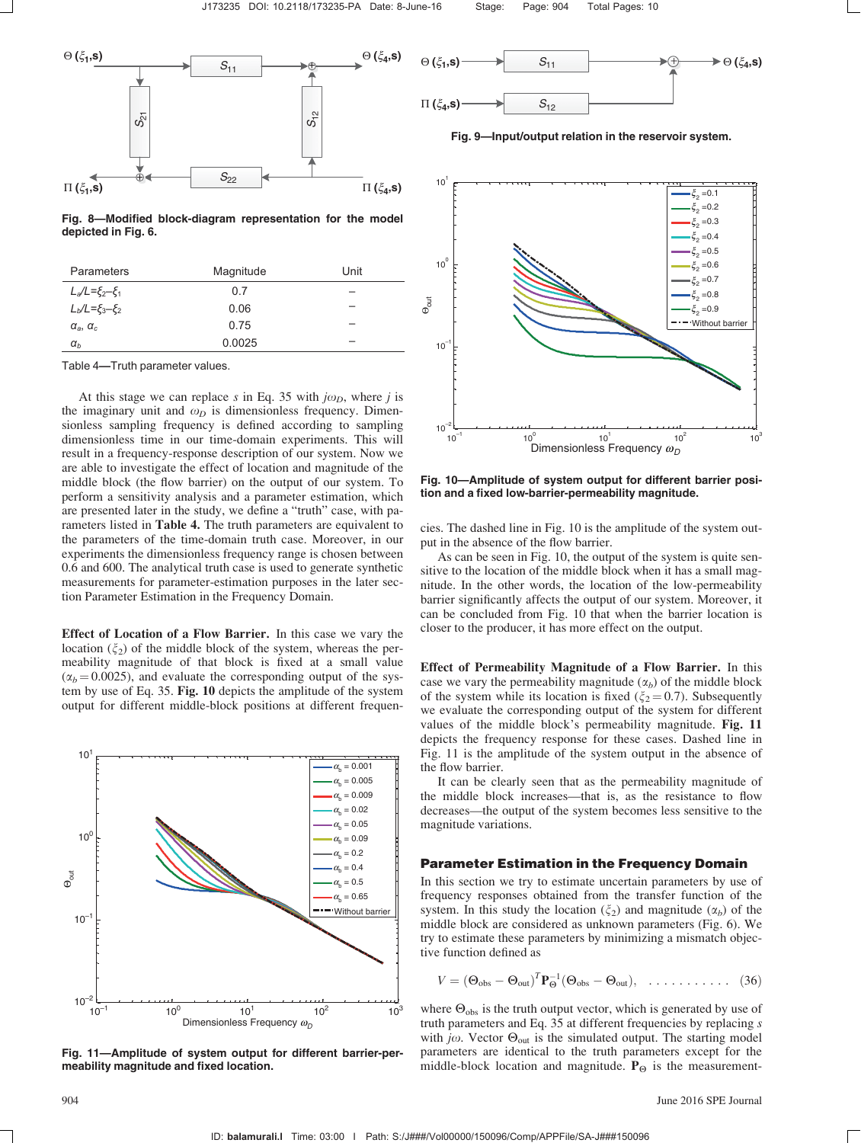

Fig. 8—Modified block-diagram representation for the model depicted in Fig. 6.

| Parameters                       | Magnitude | Unit |   |
|----------------------------------|-----------|------|---|
| $L_a/L = \xi_2 - \xi_1$          | 0.7       |      |   |
| $L_b/L = \xi_3 - \xi_2$          | 0.06      |      | C |
| $\alpha_{\rm a}, \alpha_{\rm c}$ | 0.75      |      |   |
| a <sub>b</sub>                   | 0.0025    |      |   |

Table 4—Truth parameter values.

At this stage we can replace s in Eq. 35 with  $j\omega_D$ , where j is the imaginary unit and  $\omega_D$  is dimensionless frequency. Dimensionless sampling frequency is defined according to sampling dimensionless time in our time-domain experiments. This will result in a frequency-response description of our system. Now we are able to investigate the effect of location and magnitude of the middle block (the flow barrier) on the output of our system. To perform a sensitivity analysis and a parameter estimation, which are presented later in the study, we define a "truth" case, with parameters listed in Table 4. The truth parameters are equivalent to the parameters of the time-domain truth case. Moreover, in our experiments the dimensionless frequency range is chosen between 0.6 and 600. The analytical truth case is used to generate synthetic measurements for parameter-estimation purposes in the later section Parameter Estimation in the Frequency Domain.

Effect of Location of a Flow Barrier. In this case we vary the location  $(\xi_2)$  of the middle block of the system, whereas the permeability magnitude of that block is fixed at a small value  $(\alpha_b = 0.0025)$ , and evaluate the corresponding output of the system by use of Eq. 35. Fig. 10 depicts the amplitude of the system output for different middle-block positions at different frequen-



Fig. 11—Amplitude of system output for different barrier-permeability magnitude and fixed location.



Fig. 9—Input/output relation in the reservoir system.



Fig. 10—Amplitude of system output for different barrier position and a fixed low-barrier-permeability magnitude.

cies. The dashed line in Fig. 10 is the amplitude of the system output in the absence of the flow barrier.

As can be seen in Fig. 10, the output of the system is quite sensitive to the location of the middle block when it has a small magnitude. In the other words, the location of the low-permeability barrier significantly affects the output of our system. Moreover, it can be concluded from Fig. 10 that when the barrier location is closer to the producer, it has more effect on the output.

Effect of Permeability Magnitude of a Flow Barrier. In this case we vary the permeability magnitude  $(\alpha_b)$  of the middle block of the system while its location is fixed ( $\xi_2$  = 0.7). Subsequently we evaluate the corresponding output of the system for different values of the middle block's permeability magnitude. Fig. 11 depicts the frequency response for these cases. Dashed line in Fig. 11 is the amplitude of the system output in the absence of the flow barrier.

It can be clearly seen that as the permeability magnitude of the middle block increases—that is, as the resistance to flow decreases—the output of the system becomes less sensitive to the magnitude variations.

### Parameter Estimation in the Frequency Domain

In this section we try to estimate uncertain parameters by use of frequency responses obtained from the transfer function of the system. In this study the location  $(\xi_2)$  and magnitude  $(\alpha_h)$  of the middle block are considered as unknown parameters (Fig. 6). We try to estimate these parameters by minimizing a mismatch objective function defined as

$$
V = (\Theta_{obs} - \Theta_{out})^T \mathbf{P}_{\Theta}^{-1} (\Theta_{obs} - \Theta_{out}), \quad \dots \dots \dots \tag{36}
$$

where  $\Theta_{obs}$  is the truth output vector, which is generated by use of truth parameters and Eq. 35 at different frequencies by replacing  $s$ with j $\omega$ . Vector  $\Theta_{\text{out}}$  is the simulated output. The starting model parameters are identical to the truth parameters except for the middle-block location and magnitude.  $P_{\Theta}$  is the measurement-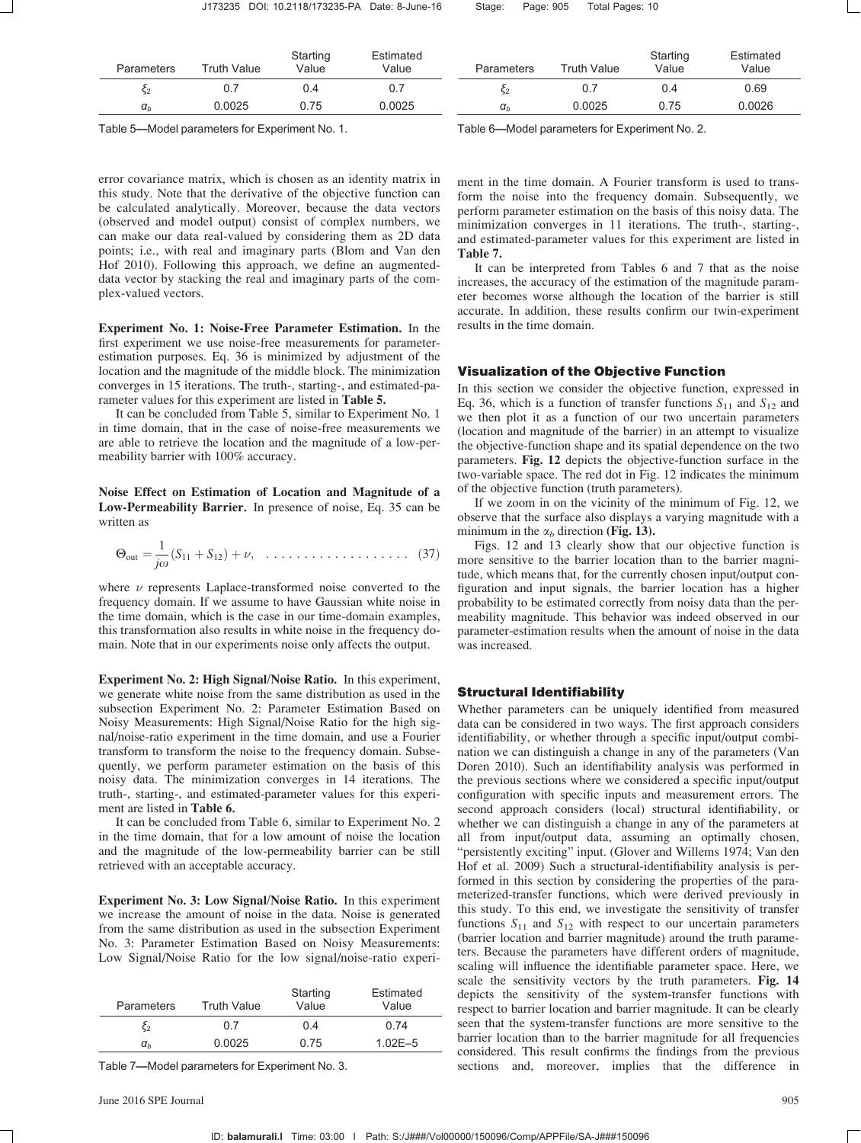| Parameters | Truth Value | Starting<br>Value | Estimated<br>Value | Parameters | Truth Value | Starting<br>Value | Estimated<br>Value |
|------------|-------------|-------------------|--------------------|------------|-------------|-------------------|--------------------|
|            |             | 0.4               | 0.1                |            | 0.7         | 0.4               | 0.69               |
| $\alpha_b$ | 0.0025      | 0.75              | 0.0025             | $\alpha_b$ | 0.0025      | 0.75              | 0.0026             |

Table 5—Model parameters for Experiment No. 1.

Table 6—Model parameters for Experiment No. 2.

error covariance matrix, which is chosen as an identity matrix in this study. Note that the derivative of the objective function can be calculated analytically. Moreover, because the data vectors (observed and model output) consist of complex numbers, we can make our data real-valued by considering them as 2D data points; i.e., with real and imaginary parts (Blom and Van den Hof 2010). Following this approach, we define an augmenteddata vector by stacking the real and imaginary parts of the complex-valued vectors.

Experiment No. 1: Noise-Free Parameter Estimation. In the first experiment we use noise-free measurements for parameterestimation purposes. Eq. 36 is minimized by adjustment of the location and the magnitude of the middle block. The minimization converges in 15 iterations. The truth-, starting-, and estimated-parameter values for this experiment are listed in Table 5.

It can be concluded from Table 5, similar to Experiment No. 1 in time domain, that in the case of noise-free measurements we are able to retrieve the location and the magnitude of a low-permeability barrier with 100% accuracy.

Noise Effect on Estimation of Location and Magnitude of a Low-Permeability Barrier. In presence of noise, Eq. 35 can be written as

$$
\Theta_{\text{out}} = \frac{1}{j\omega} (S_{11} + S_{12}) + \nu, \quad \dots \quad \dots \quad \dots \quad (37)
$$

where  $\nu$  represents Laplace-transformed noise converted to the frequency domain. If we assume to have Gaussian white noise in the time domain, which is the case in our time-domain examples, this transformation also results in white noise in the frequency domain. Note that in our experiments noise only affects the output.

Experiment No. 2: High Signal/Noise Ratio. In this experiment, we generate white noise from the same distribution as used in the subsection Experiment No. 2: Parameter Estimation Based on Noisy Measurements: High Signal/Noise Ratio for the high signal/noise-ratio experiment in the time domain, and use a Fourier transform to transform the noise to the frequency domain. Subsequently, we perform parameter estimation on the basis of this noisy data. The minimization converges in 14 iterations. The truth-, starting-, and estimated-parameter values for this experiment are listed in Table 6.

It can be concluded from Table 6, similar to Experiment No. 2 in the time domain, that for a low amount of noise the location and the magnitude of the low-permeability barrier can be still retrieved with an acceptable accuracy.

Experiment No. 3: Low Signal/Noise Ratio. In this experiment we increase the amount of noise in the data. Noise is generated from the same distribution as used in the subsection Experiment No. 3: Parameter Estimation Based on Noisy Measurements: Low Signal/Noise Ratio for the low signal/noise-ratio experi-

| <b>Parameters</b> | Truth Value | Starting<br>Value | Estimated<br>Value |
|-------------------|-------------|-------------------|--------------------|
| ረን                | 0.7         | 0.4               | 0.74               |
| а <sub>h</sub>    | 0.0025      | 0.75              | $1.02E - 5$        |

Table 7—Model parameters for Experiment No. 3.

ment in the time domain. A Fourier transform is used to transform the noise into the frequency domain. Subsequently, we perform parameter estimation on the basis of this noisy data. The minimization converges in 11 iterations. The truth-, starting-, and estimated-parameter values for this experiment are listed in Table 7.

It can be interpreted from Tables 6 and 7 that as the noise increases, the accuracy of the estimation of the magnitude parameter becomes worse although the location of the barrier is still accurate. In addition, these results confirm our twin-experiment results in the time domain.

# Visualization of the Objective Function

In this section we consider the objective function, expressed in Eq. 36, which is a function of transfer functions  $S_{11}$  and  $S_{12}$  and we then plot it as a function of our two uncertain parameters (location and magnitude of the barrier) in an attempt to visualize the objective-function shape and its spatial dependence on the two parameters. Fig. 12 depicts the objective-function surface in the two-variable space. The red dot in Fig. 12 indicates the minimum of the objective function (truth parameters).

If we zoom in on the vicinity of the minimum of Fig. 12, we observe that the surface also displays a varying magnitude with a minimum in the  $\alpha_b$  direction (Fig. 13).

Figs. 12 and 13 clearly show that our objective function is more sensitive to the barrier location than to the barrier magnitude, which means that, for the currently chosen input/output configuration and input signals, the barrier location has a higher probability to be estimated correctly from noisy data than the permeability magnitude. This behavior was indeed observed in our parameter-estimation results when the amount of noise in the data was increased.

# Structural Identifiability

Whether parameters can be uniquely identified from measured data can be considered in two ways. The first approach considers identifiability, or whether through a specific input/output combination we can distinguish a change in any of the parameters (Van Doren 2010). Such an identifiability analysis was performed in the previous sections where we considered a specific input/output configuration with specific inputs and measurement errors. The second approach considers (local) structural identifiability, or whether we can distinguish a change in any of the parameters at all from input/output data, assuming an optimally chosen, "persistently exciting" input. (Glover and Willems 1974; Van den Hof et al. 2009) Such a structural-identifiability analysis is performed in this section by considering the properties of the parameterized-transfer functions, which were derived previously in this study. To this end, we investigate the sensitivity of transfer functions  $S_{11}$  and  $S_{12}$  with respect to our uncertain parameters (barrier location and barrier magnitude) around the truth parameters. Because the parameters have different orders of magnitude, scaling will influence the identifiable parameter space. Here, we scale the sensitivity vectors by the truth parameters. Fig. 14 depicts the sensitivity of the system-transfer functions with respect to barrier location and barrier magnitude. It can be clearly seen that the system-transfer functions are more sensitive to the barrier location than to the barrier magnitude for all frequencies considered. This result confirms the findings from the previous sections and, moreover, implies that the difference in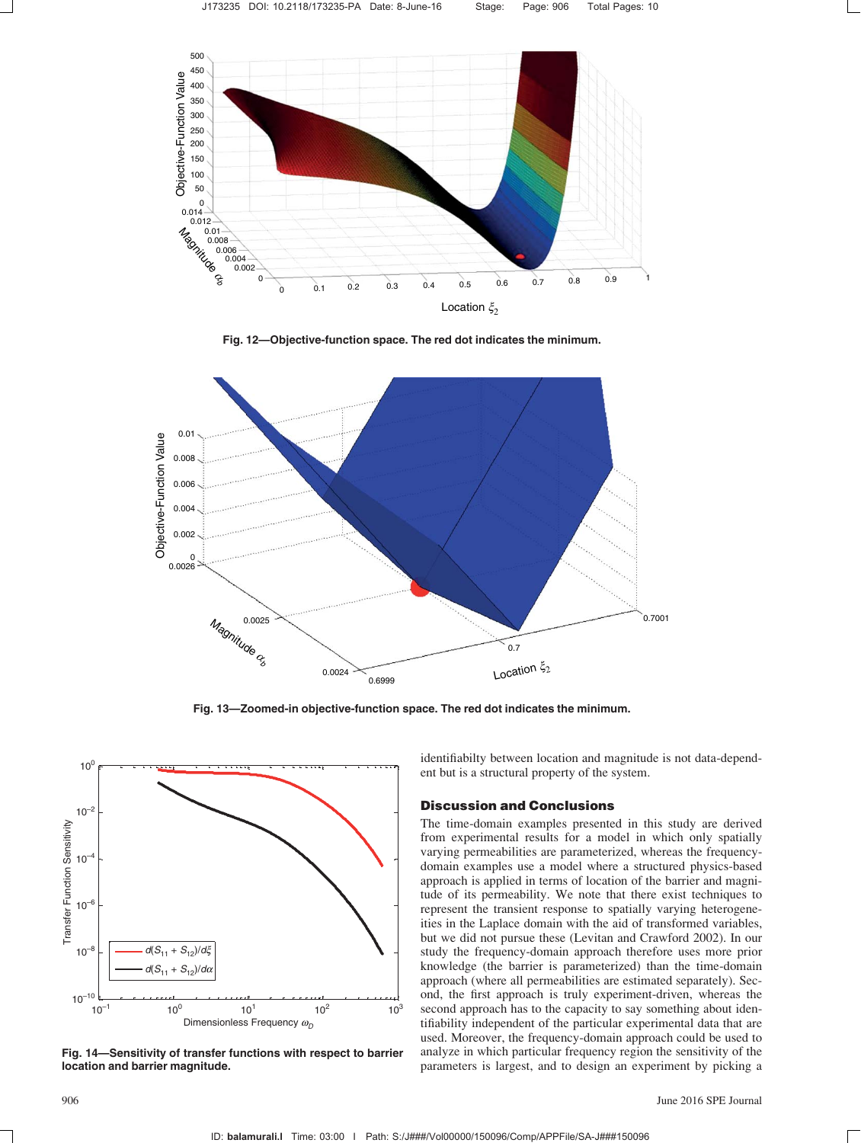

Fig. 12—Objective-function space. The red dot indicates the minimum.



Fig. 13—Zoomed-in objective-function space. The red dot indicates the minimum.



Fig. 14—Sensitivity of transfer functions with respect to barrier location and barrier magnitude.

identifiabilty between location and magnitude is not data-dependent but is a structural property of the system.

## Discussion and Conclusions

The time-domain examples presented in this study are derived from experimental results for a model in which only spatially varying permeabilities are parameterized, whereas the frequencydomain examples use a model where a structured physics-based approach is applied in terms of location of the barrier and magnitude of its permeability. We note that there exist techniques to represent the transient response to spatially varying heterogeneities in the Laplace domain with the aid of transformed variables, but we did not pursue these (Levitan and Crawford 2002). In our study the frequency-domain approach therefore uses more prior knowledge (the barrier is parameterized) than the time-domain approach (where all permeabilities are estimated separately). Second, the first approach is truly experiment-driven, whereas the second approach has to the capacity to say something about identifiability independent of the particular experimental data that are used. Moreover, the frequency-domain approach could be used to analyze in which particular frequency region the sensitivity of the parameters is largest, and to design an experiment by picking a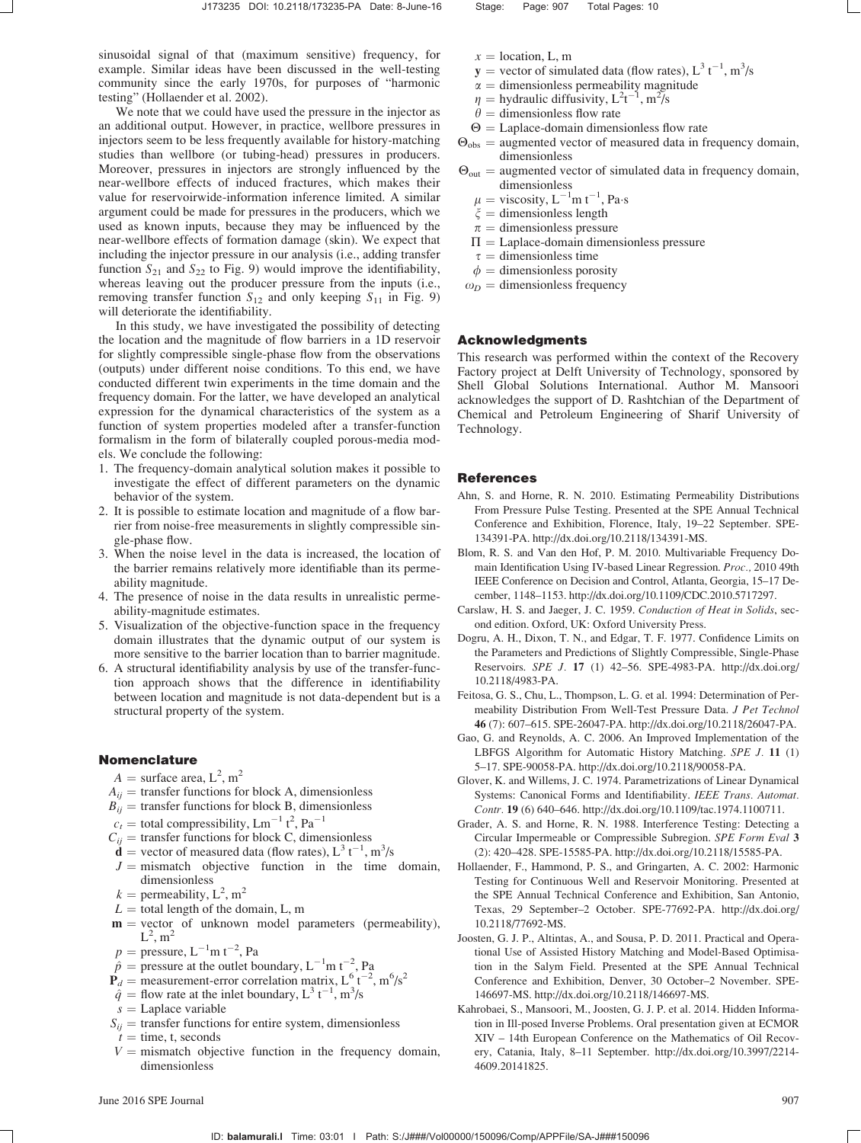sinusoidal signal of that (maximum sensitive) frequency, for example. Similar ideas have been discussed in the well-testing community since the early 1970s, for purposes of "harmonic testing" (Hollaender et al. 2002).

We note that we could have used the pressure in the injector as an additional output. However, in practice, wellbore pressures in injectors seem to be less frequently available for history-matching studies than wellbore (or tubing-head) pressures in producers. Moreover, pressures in injectors are strongly influenced by the near-wellbore effects of induced fractures, which makes their value for reservoirwide-information inference limited. A similar argument could be made for pressures in the producers, which we used as known inputs, because they may be influenced by the near-wellbore effects of formation damage (skin). We expect that including the injector pressure in our analysis (i.e., adding transfer function  $S_{21}$  and  $S_{22}$  to Fig. 9) would improve the identifiability, whereas leaving out the producer pressure from the inputs (i.e., removing transfer function  $S_{12}$  and only keeping  $S_{11}$  in Fig. 9) will deteriorate the identifiability.

In this study, we have investigated the possibility of detecting the location and the magnitude of flow barriers in a 1D reservoir for slightly compressible single-phase flow from the observations (outputs) under different noise conditions. To this end, we have conducted different twin experiments in the time domain and the frequency domain. For the latter, we have developed an analytical expression for the dynamical characteristics of the system as a function of system properties modeled after a transfer-function formalism in the form of bilaterally coupled porous-media models. We conclude the following:

- 1. The frequency-domain analytical solution makes it possible to investigate the effect of different parameters on the dynamic behavior of the system.
- 2. It is possible to estimate location and magnitude of a flow barrier from noise-free measurements in slightly compressible single-phase flow.
- 3. When the noise level in the data is increased, the location of the barrier remains relatively more identifiable than its permeability magnitude.
- 4. The presence of noise in the data results in unrealistic permeability-magnitude estimates.
- 5. Visualization of the objective-function space in the frequency domain illustrates that the dynamic output of our system is more sensitive to the barrier location than to barrier magnitude.
- 6. A structural identifiability analysis by use of the transfer-function approach shows that the difference in identifiability between location and magnitude is not data-dependent but is a structural property of the system.

### Nomenclature

- $A = \text{surface area}, L^2, m^2$
- $A_{ij}$  = transfer functions for block A, dimensionless
- $B_{ij}$  = transfer functions for block B, dimensionless
- $c_t$  = total compressibility, Lm<sup>-1</sup> t<sup>2</sup>, Pa<sup>-1</sup>
- $C_{ii}$  = transfer functions for block C, dimensionless
- $\mathbf{d} = \text{vector of measured data (flow rates)}, \mathbf{L}^3 \mathbf{t}^{-1}, \mathbf{m}^3/\mathbf{s}$
- $J =$  mismatch objective function in the time domain, dimensionless
- $k =$  permeability, L<sup>2</sup>, m<sup>2</sup>
- $L =$  total length of the domain, L, m
- $m$  = vector of unknown model parameters (permeability),  $L^2$ , m<sup>2</sup>
- $p =$  pressure,  $L^{-1}$ m t<sup>-2</sup>, Pa
- $\hat{p}$  = pressure at the outlet boundary, L<sup>-1</sup>m t<sup>-2</sup>, Pa
- $\mathbf{P}_d$  = measurement-error correlation matrix,  $L_0^6 t^{-2}$  $,m^6/s^2$
- $\ddot{\hat{q}}$  = flow rate at the inlet boundary, L<sup>3</sup> t<sup>-1</sup>, m<sup>3</sup>/s
- $s =$ Laplace variable
- $S_{ij}$  = transfer functions for entire system, dimensionless
- $t =$  time, t, seconds
- $V =$  mismatch objective function in the frequency domain, dimensionless
- $x =$ location, L, m
- $y$  = vector of simulated data (flow rates),  $L^3 t^{-1}$ , m<sup>3</sup>/s
- $\alpha$  = dimensionless permeability magnitude
- $\eta =$  hydraulic diffusivity,  $L^2t^{-1}$ , m<sup>2</sup>/s
- $\theta$  = dimensionless flow rate
- $\Theta =$  Laplace-domain dimensionless flow rate
- $\Theta_{\rm obs}$  = augmented vector of measured data in frequency domain, dimensionless
- $\Theta_{\text{out}}$  = augmented vector of simulated data in frequency domain, dimensionless
	- $\mu$  = viscosity, L<sup>-1</sup>m t<sup>-1</sup>, Pa·s
	- $\xi$  = dimensionless length
	- $\pi$  = dimensionless pressure
	- $\Pi =$  Laplace-domain dimensionless pressure
	- $\tau$  = dimensionless time
- $\phi$  = dimensionless porosity
- $\omega_D$  = dimensionless frequency

## Acknowledgments

This research was performed within the context of the Recovery Factory project at Delft University of Technology, sponsored by Shell Global Solutions International. Author M. Mansoori acknowledges the support of D. Rashtchian of the Department of Chemical and Petroleum Engineering of Sharif University of Technology.

# **References**

- Ahn, S. and Horne, R. N. 2010. Estimating Permeability Distributions From Pressure Pulse Testing. Presented at the SPE Annual Technical Conference and Exhibition, Florence, Italy, 19–22 September. SPE-134391-PA. [http://dx.doi.org/10.2118/134391-MS.](http://dx.doi.org/10.2118/134391-MS)
- Blom, R. S. and Van den Hof, P. M. 2010. Multivariable Frequency Domain Identification Using IV-based Linear Regression. Proc., 2010 49th IEEE Conference on Decision and Control, Atlanta, Georgia, 15–17 December, 1148–1153. [http://dx.doi.org/10.1109/CDC.2010.5717297.](http://dx.doi.org/10.1109/CDC.2010.5717297)
- Carslaw, H. S. and Jaeger, J. C. 1959. Conduction of Heat in Solids, second edition. Oxford, UK: Oxford University Press.
- Dogru, A. H., Dixon, T. N., and Edgar, T. F. 1977. Confidence Limits on the Parameters and Predictions of Slightly Compressible, Single-Phase Reservoirs. SPE J. 17 (1) 42–56. SPE-4983-PA. [http://dx.doi.org/](http://dx.doi.org/10.2118/4983-PA) [10.2118/4983-PA.](http://dx.doi.org/10.2118/4983-PA)
- Feitosa, G. S., Chu, L., Thompson, L. G. et al. 1994: Determination of Permeability Distribution From Well-Test Pressure Data. J Pet Technol 46 (7): 607–615. SPE-26047-PA. [http://dx.doi.org/10.2118/26047-PA.](http://dx.doi.org/10.2118/26047-PA)
- Gao, G. and Reynolds, A. C. 2006. An Improved Implementation of the LBFGS Algorithm for Automatic History Matching. SPE J. 11 (1) 5–17. SPE-90058-PA. [http://dx.doi.org/10.2118/90058-PA.](http://dx.doi.org/10.2118/90058-PA)
- Glover, K. and Willems, J. C. 1974. Parametrizations of Linear Dynamical Systems: Canonical Forms and Identifiability. IEEE Trans. Automat. Contr. 19 (6) 640–646. [http://dx.doi.org/10.1109/tac.1974.1100711.](http://dx.doi.org/10.1109/tac.1974.1100711)
- Grader, A. S. and Horne, R. N. 1988. Interference Testing: Detecting a Circular Impermeable or Compressible Subregion. SPE Form Eval 3 (2): 420–428. SPE-15585-PA. [http://dx.doi.org/10.2118/15585-PA.](http://dx.doi.org/10.2118/15585-PA)
- Hollaender, F., Hammond, P. S., and Gringarten, A. C. 2002: Harmonic Testing for Continuous Well and Reservoir Monitoring. Presented at the SPE Annual Technical Conference and Exhibition, San Antonio, Texas, 29 September–2 October. SPE-77692-PA. [http://dx.doi.org/](http://dx.doi.org/10.2118/77692-MS) [10.2118/77692-MS.](http://dx.doi.org/10.2118/77692-MS)
- Joosten, G. J. P., Altintas, A., and Sousa, P. D. 2011. Practical and Operational Use of Assisted History Matching and Model-Based Optimisation in the Salym Field. Presented at the SPE Annual Technical Conference and Exhibition, Denver, 30 October–2 November. SPE-146697-MS. [http://dx.doi.org/10.2118/146697-MS.](http://dx.doi.org/10.2118/146697-MS)
- Kahrobaei, S., Mansoori, M., Joosten, G. J. P. et al. 2014. Hidden Information in Ill-posed Inverse Problems. Oral presentation given at ECMOR XIV – 14th European Conference on the Mathematics of Oil Recovery, Catania, Italy, 8–11 September. [http://dx.doi.org/10.3997/2214-](http://dx.doi.org/10.3997/2214-4609.20141825) [4609.20141825.](http://dx.doi.org/10.3997/2214-4609.20141825)